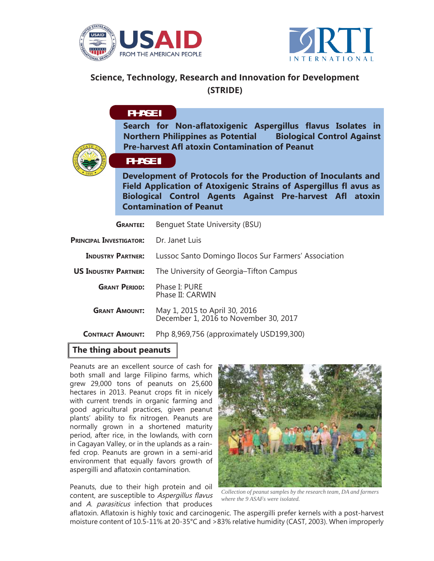



## **Science, Technology, Research and Innovation for Development (STRIDE)**

# **PHASE PHASE I**

**Search for Non-aflatoxigenic Aspergillus flavus Isolates in Northern Philippines as Potential Biological Control Against Pre-harvest Afl atoxin Contamination of Peanut**



### **PHASE II**

**Development of Protocols for the Production of Inoculants and Field Application of Atoxigenic Strains of Aspergillus fl avus as Biological Control Agents Against Pre-harvest Afl atoxin Contamination of Peanut**

| <b>GRANTEE:</b>                | Benquet State University (BSU)                                         |
|--------------------------------|------------------------------------------------------------------------|
| <b>PRINCIPAL INVESTIGATOR:</b> | Dr. Janet Luis                                                         |
| <b>INDUSTRY PARTNER:</b>       | Lussoc Santo Domingo Ilocos Sur Farmers' Association                   |
| <b>US INDUSTRY PARTNER:</b>    | The University of Georgia–Tifton Campus                                |
| <b>GRANT PERIOD:</b>           | Phase I: PURE<br>Phase II: CARWIN                                      |
| <b>GRANT AMOUNT:</b>           | May 1, 2015 to April 30, 2016<br>December 1, 2016 to November 30, 2017 |
| <b>CONTRACT AMOUNT:</b>        | Php 8,969,756 (approximately USD199,300)                               |

#### **The thing about peanuts**

Peanuts are an excellent source of cash for both small and large Filipino farms, which grew 29,000 tons of peanuts on 25,600 hectares in 2013. Peanut crops fit in nicely with current trends in organic farming and good agricultural practices, given peanut plants' ability to fix nitrogen. Peanuts are normally grown in a shortened maturity period, after rice, in the lowlands, with corn in Cagayan Valley, or in the uplands as a rainfed crop. Peanuts are grown in a semi-arid environment that equally favors growth of aspergilli and aflatoxin contamination.

Peanuts, due to their high protein and oil content, are susceptible to Aspergillus flavus and A. *parasiticus* infection that produces



*Collection of peanut samples by the research team, DA and farmers where the 9 ASAFs were isolated.*

aflatoxin. Aflatoxin is highly toxic and carcinogenic. The aspergilli prefer kernels with a post-harvest moisture content of 10.5-11% at 20-35°C and >83% relative humidity (CAST, 2003). When improperly